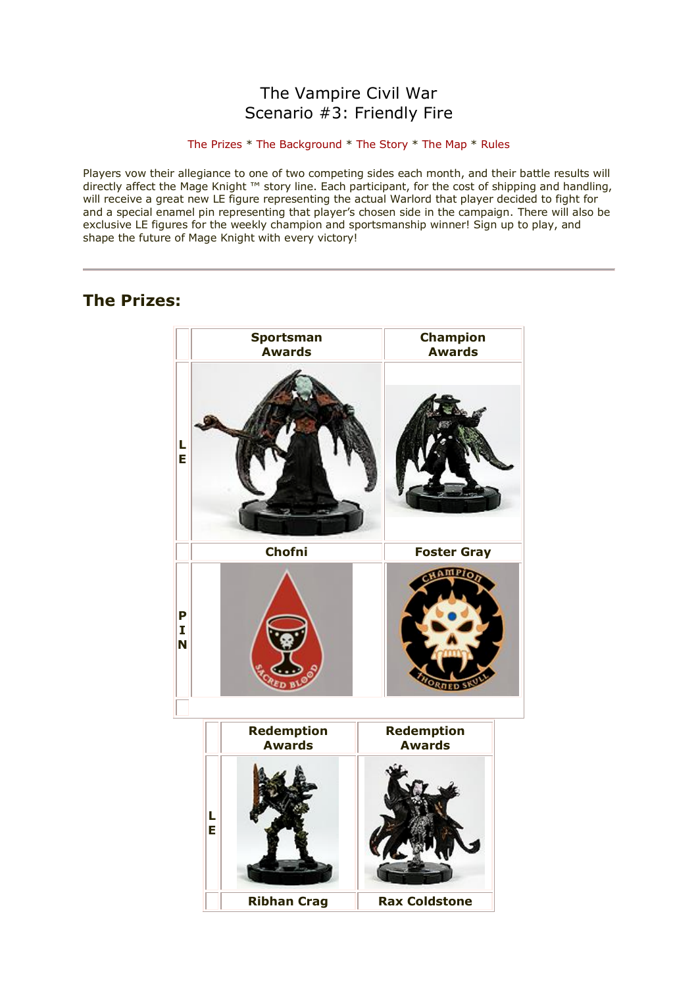## The Vampire Civil War Scenario #3: Friendly Fire

### [The Prizes](http://www.wizkidsgames.com/mageknight/article.asp?cid=36990&frame=Talesfromtheland#prizes#prizes) \* [The Background](http://www.wizkidsgames.com/mageknight/article.asp?cid=36990&frame=Talesfromtheland#background#background) \* [The Story](http://www.wizkidsgames.com/mageknight/article.asp?cid=36990&frame=Talesfromtheland#story#story) \* [The Map](http://www.wizkidsgames.com/mageknight/article.asp?cid=36990&frame=Talesfromtheland#map#map) \* [Rules](http://www.wizkidsgames.com/mageknight/article.asp?cid=36990&frame=Talesfromtheland#week#week)

Players vow their allegiance to one of two competing sides each month, and their battle results will directly affect the Mage Knight ™ story line. Each participant, for the cost of shipping and handling, will receive a great new LE figure representing the actual Warlord that player decided to fight for and a special enamel pin representing that player's chosen side in the campaign. There will also be exclusive LE figures for the weekly champion and sportsmanship winner! Sign up to play, and shape the future of Mage Knight with every victory!

## **The Prizes:**

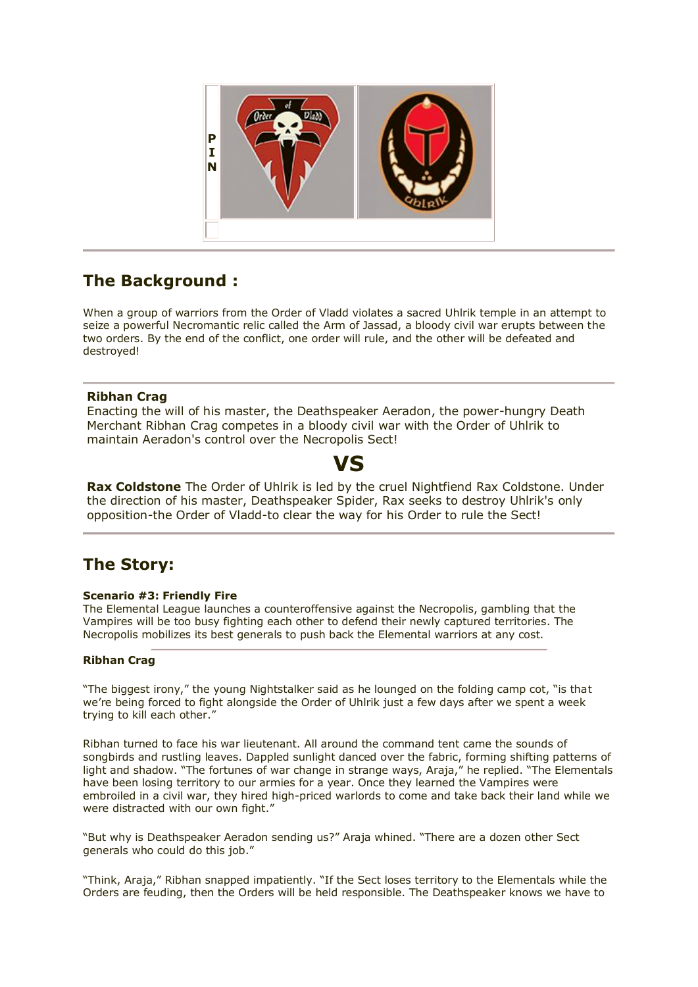

# **The Background :**

When a group of warriors from the Order of Vladd violates a sacred Uhlrik temple in an attempt to seize a powerful Necromantic relic called the Arm of Jassad, a bloody civil war erupts between the two orders. By the end of the conflict, one order will rule, and the other will be defeated and destroyed!

## **Ribhan Crag**

Enacting the will of his master, the Deathspeaker Aeradon, the power-hungry Death Merchant Ribhan Crag competes in a bloody civil war with the Order of Uhlrik to maintain Aeradon's control over the Necropolis Sect!

# **VS**

**Rax Coldstone** The Order of Uhlrik is led by the cruel Nightfiend Rax Coldstone. Under the direction of his master, Deathspeaker Spider, Rax seeks to destroy Uhlrik's only opposition-the Order of Vladd-to clear the way for his Order to rule the Sect!

## **The Story:**

### **Scenario #3: Friendly Fire**

The Elemental League launches a counteroffensive against the Necropolis, gambling that the Vampires will be too busy fighting each other to defend their newly captured territories. The Necropolis mobilizes its best generals to push back the Elemental warriors at any cost.

### **Ribhan Crag**

"The biggest irony," the young Nightstalker said as he lounged on the folding camp cot, "is that we're being forced to fight alongside the Order of Uhlrik just a few days after we spent a week trying to kill each other."

Ribhan turned to face his war lieutenant. All around the command tent came the sounds of songbirds and rustling leaves. Dappled sunlight danced over the fabric, forming shifting patterns of light and shadow. "The fortunes of war change in strange ways, Araja," he replied. "The Elementals have been losing territory to our armies for a year. Once they learned the Vampires were embroiled in a civil war, they hired high-priced warlords to come and take back their land while we were distracted with our own fight."

"But why is Deathspeaker Aeradon sending us?" Araja whined. "There are a dozen other Sect generals who could do this job."

"Think, Araja," Ribhan snapped impatiently. "If the Sect loses territory to the Elementals while the Orders are feuding, then the Orders will be held responsible. The Deathspeaker knows we have to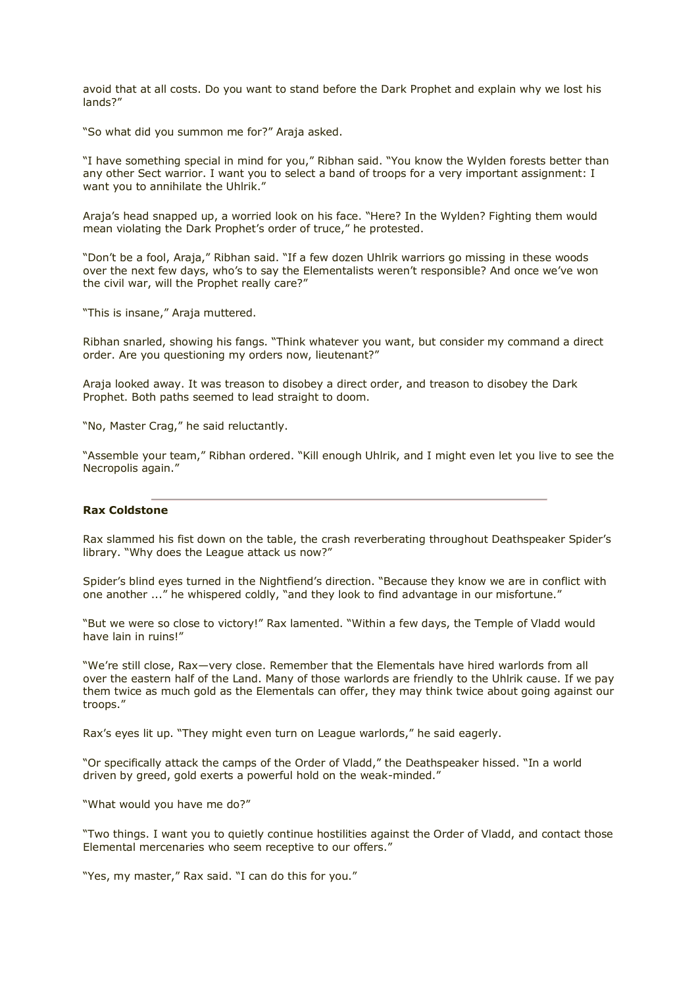avoid that at all costs. Do you want to stand before the Dark Prophet and explain why we lost his lands?"

"So what did you summon me for?" Araja asked.

"I have something special in mind for you," Ribhan said. "You know the Wylden forests better than any other Sect warrior. I want you to select a band of troops for a very important assignment: I want you to annihilate the Uhlrik."

Araja's head snapped up, a worried look on his face. "Here? In the Wylden? Fighting them would mean violating the Dark Prophet's order of truce," he protested.

"Don't be a fool, Araja," Ribhan said. "If a few dozen Uhlrik warriors go missing in these woods over the next few days, who's to say the Elementalists weren't responsible? And once we've won the civil war, will the Prophet really care?"

"This is insane," Araja muttered.

Ribhan snarled, showing his fangs. "Think whatever you want, but consider my command a direct order. Are you questioning my orders now, lieutenant?"

Araja looked away. It was treason to disobey a direct order, and treason to disobey the Dark Prophet. Both paths seemed to lead straight to doom.

"No, Master Crag," he said reluctantly.

"Assemble your team," Ribhan ordered. "Kill enough Uhlrik, and I might even let you live to see the Necropolis again."

#### **Rax Coldstone**

Rax slammed his fist down on the table, the crash reverberating throughout Deathspeaker Spider's library. "Why does the League attack us now?"

Spider's blind eyes turned in the Nightfiend's direction. "Because they know we are in conflict with one another ..." he whispered coldly, "and they look to find advantage in our misfortune."

"But we were so close to victory!" Rax lamented. "Within a few days, the Temple of Vladd would have lain in ruins!"

"We're still close, Rax—very close. Remember that the Elementals have hired warlords from all over the eastern half of the Land. Many of those warlords are friendly to the Uhlrik cause. If we pay them twice as much gold as the Elementals can offer, they may think twice about going against our troops."

Rax's eyes lit up. "They might even turn on League warlords," he said eagerly.

"Or specifically attack the camps of the Order of Vladd," the Deathspeaker hissed. "In a world driven by greed, gold exerts a powerful hold on the weak-minded."

"What would you have me do?"

"Two things. I want you to quietly continue hostilities against the Order of Vladd, and contact those Elemental mercenaries who seem receptive to our offers."

"Yes, my master," Rax said. "I can do this for you."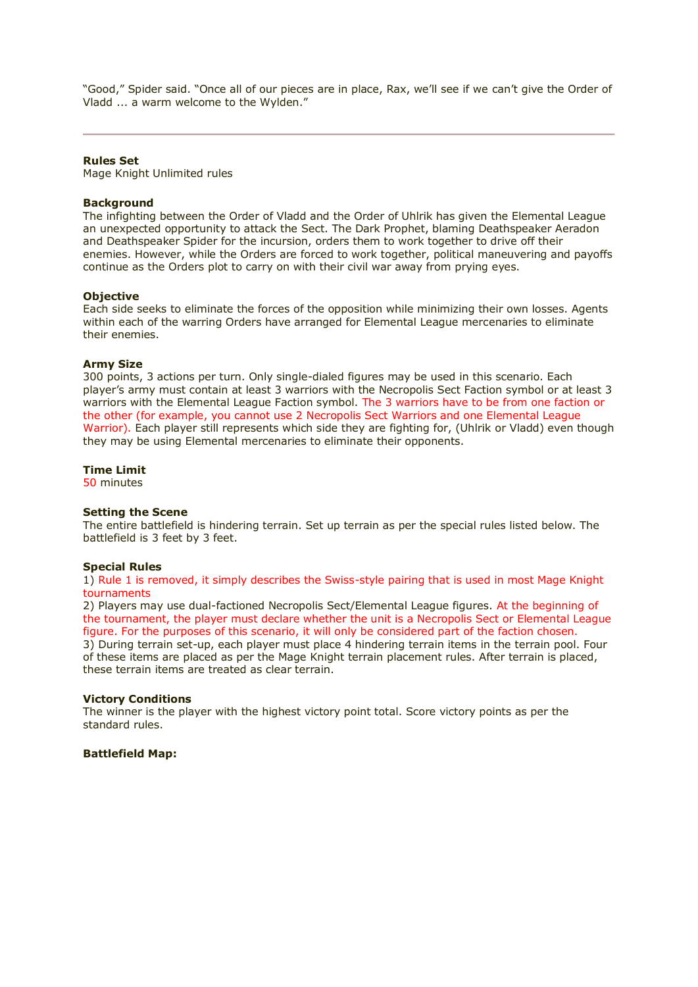"Good," Spider said. "Once all of our pieces are in place, Rax, we'll see if we can't give the Order of Vladd ... a warm welcome to the Wylden."

#### **Rules Set**

Mage Knight Unlimited rules

#### **Background**

The infighting between the Order of Vladd and the Order of Uhlrik has given the Elemental League an unexpected opportunity to attack the Sect. The Dark Prophet, blaming Deathspeaker Aeradon and Deathspeaker Spider for the incursion, orders them to work together to drive off their enemies. However, while the Orders are forced to work together, political maneuvering and payoffs continue as the Orders plot to carry on with their civil war away from prying eyes.

#### **Objective**

Each side seeks to eliminate the forces of the opposition while minimizing their own losses. Agents within each of the warring Orders have arranged for Elemental League mercenaries to eliminate their enemies.

#### **Army Size**

300 points, 3 actions per turn. Only single-dialed figures may be used in this scenario. Each player's army must contain at least 3 warriors with the Necropolis Sect Faction symbol or at least 3 warriors with the Elemental League Faction symbol. The 3 warriors have to be from one faction or the other (for example, you cannot use 2 Necropolis Sect Warriors and one Elemental League Warrior). Each player still represents which side they are fighting for, (Uhlrik or Vladd) even though they may be using Elemental mercenaries to eliminate their opponents.

#### **Time Limit**

50 minutes

#### **Setting the Scene**

The entire battlefield is hindering terrain. Set up terrain as per the special rules listed below. The battlefield is 3 feet by 3 feet.

#### **Special Rules**

1) Rule 1 is removed, it simply describes the Swiss-style pairing that is used in most Mage Knight tournaments

2) Players may use dual-factioned Necropolis Sect/Elemental League figures. At the beginning of the tournament, the player must declare whether the unit is a Necropolis Sect or Elemental League figure. For the purposes of this scenario, it will only be considered part of the faction chosen. 3) During terrain set-up, each player must place 4 hindering terrain items in the terrain pool. Four of these items are placed as per the Mage Knight terrain placement rules. After terrain is placed, these terrain items are treated as clear terrain.

#### **Victory Conditions**

The winner is the player with the highest victory point total. Score victory points as per the standard rules.

#### **Battlefield Map:**